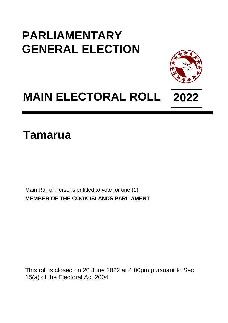## **PARLIAMENTARY GENERAL ELECTION**



## **MAIN ELECTORAL ROLL 2022**

## **Tamarua**

Main Roll of Persons entitled to vote for one (1) **MEMBER OF THE COOK ISLANDS PARLIAMENT**

This roll is closed on 20 June 2022 at 4.00pm pursuant to Sec 15(a) of the Electoral Act 2004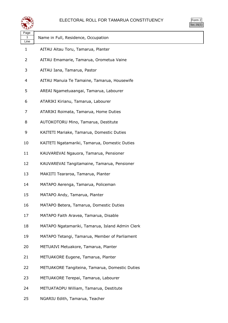

|    | orm |  |  |  |
|----|-----|--|--|--|
| v. |     |  |  |  |

| ستعص<br>Page   |                                                 |
|----------------|-------------------------------------------------|
| 1<br>Line      | Name in Full, Residence, Occupation             |
| 1              | AITAU Aitau Toru, Tamarua, Planter              |
| $\overline{2}$ | AITAU Emamarie, Tamarua, Orometua Vaine         |
| 3              | AITAU Iana, Tamarua, Pastor                     |
| $\overline{4}$ | AITAU Manuia Te Tamaine, Tamarua, Housewife     |
| 5              | AREAI Ngametuaangai, Tamarua, Labourer          |
| 6              | ATARIKI Kirianu, Tamarua, Labourer              |
| 7              | ATARIKI Roimata, Tamarua, Home Duties           |
| 8              | AUTOKOTORU Mino, Tamarua, Destitute             |
| 9              | KAITETI Mariake, Tamarua, Domestic Duties       |
| 10             | KAITETI Ngatamariki, Tamarua, Domestic Duties   |
| 11             | KAUVAREVAI Ngauora, Tamarua, Pensioner          |
| 12             | KAUVAREVAI Tangitamaine, Tamarua, Pensioner     |
| 13             | MAKIITI Teararoa, Tamarua, Planter              |
| 14             | MATAPO Aerenga, Tamarua, Policeman              |
| 15             | MATAPO Andy, Tamarua, Planter                   |
| 16             | MATAPO Betera, Tamarua, Domestic Duties         |
| 17             | MATAPO Faith Aravea, Tamarua, Disable           |
| 18             | MATAPO Ngatamariki, Tamarua, Island Admin Clerk |
| 19             | MATAPO Tetangi, Tamarua, Member of Parliament   |
| 20             | METUAIVI Metuakore, Tamarua, Planter            |
| 21             | METUAKORE Eugene, Tamarua, Planter              |
| 22             | METUAKORE Tangiteina, Tamarua, Domestic Duties  |
| 23             | METUAKORE Terepai, Tamarua, Labourer            |
| 24             | METUATAOPU William, Tamarua, Destitute          |

NGARIU Edith, Tamarua, Teacher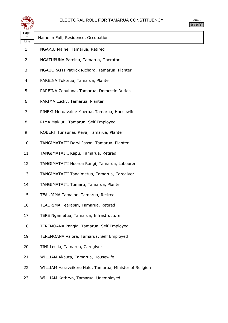| ELECTORAL ROLL FOR TAMARUA CONSTITUENCY |  |  |
|-----------------------------------------|--|--|
|                                         |  |  |

|     | <sub>rm</sub> |  |  |  |
|-----|---------------|--|--|--|
| e i |               |  |  |  |

|                   | ELECTORAL ROLL FOR TAMARUA CONSTITUENCY                 | Form 2<br>Sec.16(1) |
|-------------------|---------------------------------------------------------|---------------------|
| Page<br>2<br>Line | Name in Full, Residence, Occupation                     |                     |
| 1                 | NGARIU Maine, Tamarua, Retired                          |                     |
| 2                 | NGATUPUNA Pareina, Tamarua, Operator                    |                     |
| 3                 | NGAUORAITI Patrick Richard, Tamarua, Planter            |                     |
| 4                 | PAREINA Tokorua, Tamarua, Planter                       |                     |
| 5                 | PAREINA Zebuluna, Tamarua, Domestic Duties              |                     |
| 6                 | PARIMA Lucky, Tamarua, Planter                          |                     |
| 7                 | PINEKI Metuavaine Moeroa, Tamarua, Housewife            |                     |
| 8                 | RIMA Makiuti, Tamarua, Self Employed                    |                     |
| 9                 | ROBERT Tunaunau Reva, Tamarua, Planter                  |                     |
| 10                | TANGIMATAITI Daryl Jason, Tamarua, Planter              |                     |
| 11                | TANGIMATAITI Kapu, Tamarua, Retired                     |                     |
| 12                | TANGIMATAITI Nooroa Rangi, Tamarua, Labourer            |                     |
| 13                | TANGIMATAITI Tangimetua, Tamarua, Caregiver             |                     |
| 14                | TANGIMATAITI Tumaru, Tamarua, Planter                   |                     |
| 15                | TEAURIMA Tamaine, Tamarua, Retired                      |                     |
| 16                | TEAURIMA Tearapiri, Tamarua, Retired                    |                     |
| 17                | TERE Ngametua, Tamarua, Infrastructure                  |                     |
| 18                | TEREMOANA Pangia, Tamarua, Self Employed                |                     |
| 19                | TEREMOANA Vaiora, Tamarua, Self Employed                |                     |
| 20                | TINI Leuila, Tamarua, Caregiver                         |                     |
| 21                | WILLIAM Akauta, Tamarua, Housewife                      |                     |
| 22                | WILLIAM Haraveikore Halo, Tamarua, Minister of Religion |                     |
| 23                | WILLIAM Kathryn, Tamarua, Unemployed                    |                     |